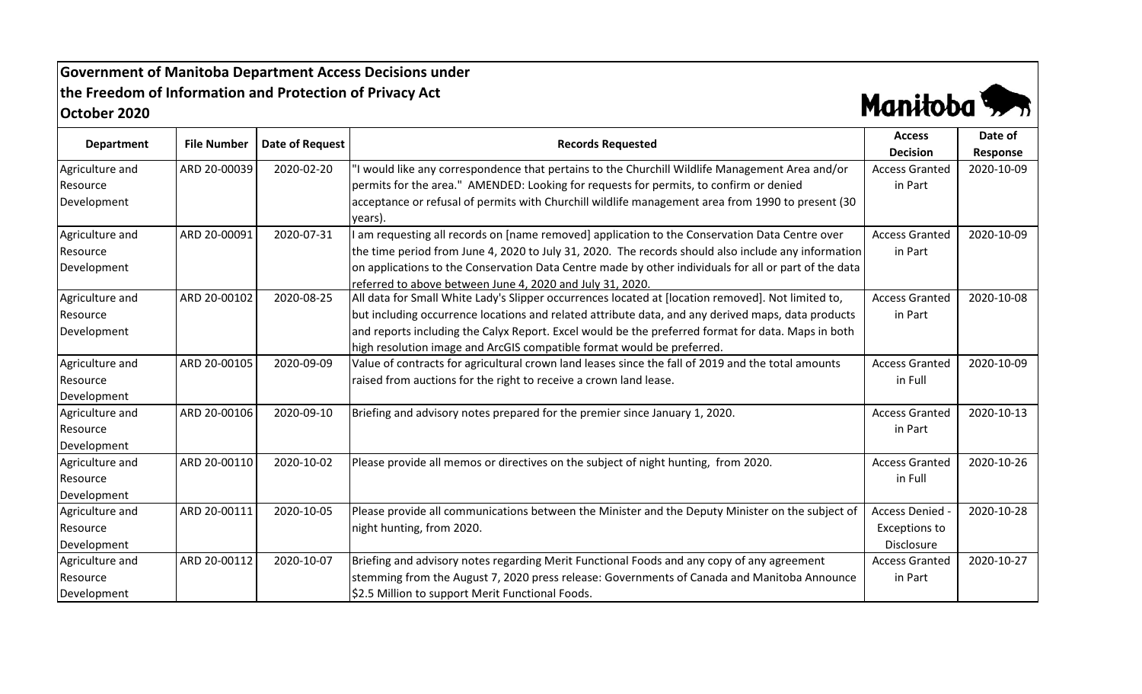## **Government of Manitoba Department Access Decisions under the Freedom of Information and Protection of Privacy Act October 2020**



| <b>Department</b> |                    |                 |                                                                                                       | <b>Access</b>         | Date of    |
|-------------------|--------------------|-----------------|-------------------------------------------------------------------------------------------------------|-----------------------|------------|
|                   | <b>File Number</b> | Date of Request | <b>Records Requested</b>                                                                              | <b>Decision</b>       | Response   |
| Agriculture and   | ARD 20-00039       | 2020-02-20      | 'I would like any correspondence that pertains to the Churchill Wildlife Management Area and/or       | <b>Access Granted</b> | 2020-10-09 |
| Resource          |                    |                 | permits for the area." AMENDED: Looking for requests for permits, to confirm or denied                | in Part               |            |
| Development       |                    |                 | acceptance or refusal of permits with Churchill wildlife management area from 1990 to present (30     |                       |            |
|                   |                    |                 | years).                                                                                               |                       |            |
| Agriculture and   | ARD 20-00091       | 2020-07-31      | I am requesting all records on [name removed] application to the Conservation Data Centre over        | <b>Access Granted</b> | 2020-10-09 |
| Resource          |                    |                 | the time period from June 4, 2020 to July 31, 2020. The records should also include any information   | in Part               |            |
| Development       |                    |                 | on applications to the Conservation Data Centre made by other individuals for all or part of the data |                       |            |
|                   |                    |                 | referred to above between June 4, 2020 and July 31, 2020.                                             |                       |            |
| Agriculture and   | ARD 20-00102       | 2020-08-25      | All data for Small White Lady's Slipper occurrences located at [location removed]. Not limited to,    | <b>Access Granted</b> | 2020-10-08 |
| Resource          |                    |                 | but including occurrence locations and related attribute data, and any derived maps, data products    | in Part               |            |
| Development       |                    |                 | and reports including the Calyx Report. Excel would be the preferred format for data. Maps in both    |                       |            |
|                   |                    |                 | high resolution image and ArcGIS compatible format would be preferred.                                |                       |            |
| Agriculture and   | ARD 20-00105       | 2020-09-09      | Value of contracts for agricultural crown land leases since the fall of 2019 and the total amounts    | <b>Access Granted</b> | 2020-10-09 |
| Resource          |                    |                 | raised from auctions for the right to receive a crown land lease.                                     | in Full               |            |
| Development       |                    |                 |                                                                                                       |                       |            |
| Agriculture and   | ARD 20-00106       | 2020-09-10      | Briefing and advisory notes prepared for the premier since January 1, 2020.                           | <b>Access Granted</b> | 2020-10-13 |
| Resource          |                    |                 |                                                                                                       | in Part               |            |
| Development       |                    |                 |                                                                                                       |                       |            |
| Agriculture and   | ARD 20-00110       | 2020-10-02      | Please provide all memos or directives on the subject of night hunting, from 2020.                    | <b>Access Granted</b> | 2020-10-26 |
| Resource          |                    |                 |                                                                                                       | in Full               |            |
| Development       |                    |                 |                                                                                                       |                       |            |
| Agriculture and   | ARD 20-00111       | 2020-10-05      | Please provide all communications between the Minister and the Deputy Minister on the subject of      | <b>Access Denied</b>  | 2020-10-28 |
| Resource          |                    |                 | night hunting, from 2020.                                                                             | <b>Exceptions to</b>  |            |
| Development       |                    |                 |                                                                                                       | Disclosure            |            |
| Agriculture and   | ARD 20-00112       | 2020-10-07      | Briefing and advisory notes regarding Merit Functional Foods and any copy of any agreement            | <b>Access Granted</b> | 2020-10-27 |
| Resource          |                    |                 | stemming from the August 7, 2020 press release: Governments of Canada and Manitoba Announce           | in Part               |            |
| Development       |                    |                 | \$2.5 Million to support Merit Functional Foods.                                                      |                       |            |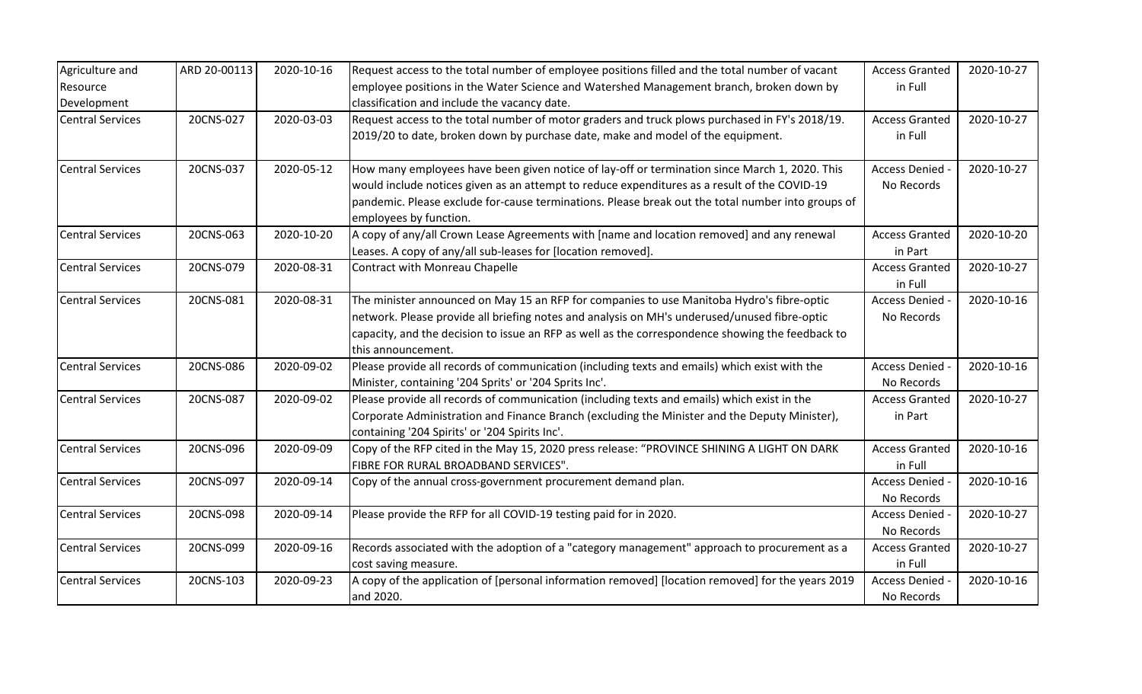| Agriculture and         | ARD 20-00113 | 2020-10-16 | Request access to the total number of employee positions filled and the total number of vacant                         | <b>Access Granted</b> | 2020-10-27 |
|-------------------------|--------------|------------|------------------------------------------------------------------------------------------------------------------------|-----------------------|------------|
| Resource                |              |            | employee positions in the Water Science and Watershed Management branch, broken down by                                | in Full               |            |
| Development             |              |            | classification and include the vacancy date.                                                                           |                       |            |
| <b>Central Services</b> | 20CNS-027    | 2020-03-03 | Request access to the total number of motor graders and truck plows purchased in FY's 2018/19.                         | <b>Access Granted</b> | 2020-10-27 |
|                         |              |            | 2019/20 to date, broken down by purchase date, make and model of the equipment.                                        | in Full               |            |
| <b>Central Services</b> | 20CNS-037    | 2020-05-12 | How many employees have been given notice of lay-off or termination since March 1, 2020. This                          | Access Denied         | 2020-10-27 |
|                         |              |            | would include notices given as an attempt to reduce expenditures as a result of the COVID-19                           | No Records            |            |
|                         |              |            | pandemic. Please exclude for-cause terminations. Please break out the total number into groups of                      |                       |            |
|                         |              |            | employees by function.                                                                                                 |                       |            |
| <b>Central Services</b> | 20CNS-063    | 2020-10-20 | A copy of any/all Crown Lease Agreements with [name and location removed] and any renewal                              | <b>Access Granted</b> | 2020-10-20 |
|                         |              |            | Leases. A copy of any/all sub-leases for [location removed].                                                           | in Part               |            |
| <b>Central Services</b> | 20CNS-079    | 2020-08-31 | Contract with Monreau Chapelle                                                                                         | <b>Access Granted</b> | 2020-10-27 |
|                         |              |            |                                                                                                                        | in Full               |            |
| <b>Central Services</b> | 20CNS-081    | 2020-08-31 | The minister announced on May 15 an RFP for companies to use Manitoba Hydro's fibre-optic                              | Access Denied -       | 2020-10-16 |
|                         |              |            | network. Please provide all briefing notes and analysis on MH's underused/unused fibre-optic                           | No Records            |            |
|                         |              |            | capacity, and the decision to issue an RFP as well as the correspondence showing the feedback to<br>this announcement. |                       |            |
| <b>Central Services</b> | 20CNS-086    | 2020-09-02 | Please provide all records of communication (including texts and emails) which exist with the                          | Access Denied -       | 2020-10-16 |
|                         |              |            | Minister, containing '204 Sprits' or '204 Sprits Inc'.                                                                 | No Records            |            |
| <b>Central Services</b> | 20CNS-087    | 2020-09-02 | Please provide all records of communication (including texts and emails) which exist in the                            | <b>Access Granted</b> | 2020-10-27 |
|                         |              |            | Corporate Administration and Finance Branch (excluding the Minister and the Deputy Minister),                          | in Part               |            |
|                         |              |            | containing '204 Spirits' or '204 Spirits Inc'.                                                                         |                       |            |
| <b>Central Services</b> | 20CNS-096    | 2020-09-09 | Copy of the RFP cited in the May 15, 2020 press release: "PROVINCE SHINING A LIGHT ON DARK                             | <b>Access Granted</b> | 2020-10-16 |
|                         |              |            | FIBRE FOR RURAL BROADBAND SERVICES".                                                                                   | in Full               |            |
| <b>Central Services</b> | 20CNS-097    | 2020-09-14 | Copy of the annual cross-government procurement demand plan.                                                           | Access Denied -       | 2020-10-16 |
|                         |              |            |                                                                                                                        | No Records            |            |
| <b>Central Services</b> | 20CNS-098    | 2020-09-14 | Please provide the RFP for all COVID-19 testing paid for in 2020.                                                      | Access Denied -       | 2020-10-27 |
|                         |              |            |                                                                                                                        | No Records            |            |
| <b>Central Services</b> | 20CNS-099    | 2020-09-16 | Records associated with the adoption of a "category management" approach to procurement as a                           | <b>Access Granted</b> | 2020-10-27 |
|                         |              |            | cost saving measure.                                                                                                   | in Full               |            |
| <b>Central Services</b> | 20CNS-103    | 2020-09-23 | A copy of the application of [personal information removed] [location removed] for the years 2019                      | Access Denied -       | 2020-10-16 |
|                         |              |            | and 2020.                                                                                                              | No Records            |            |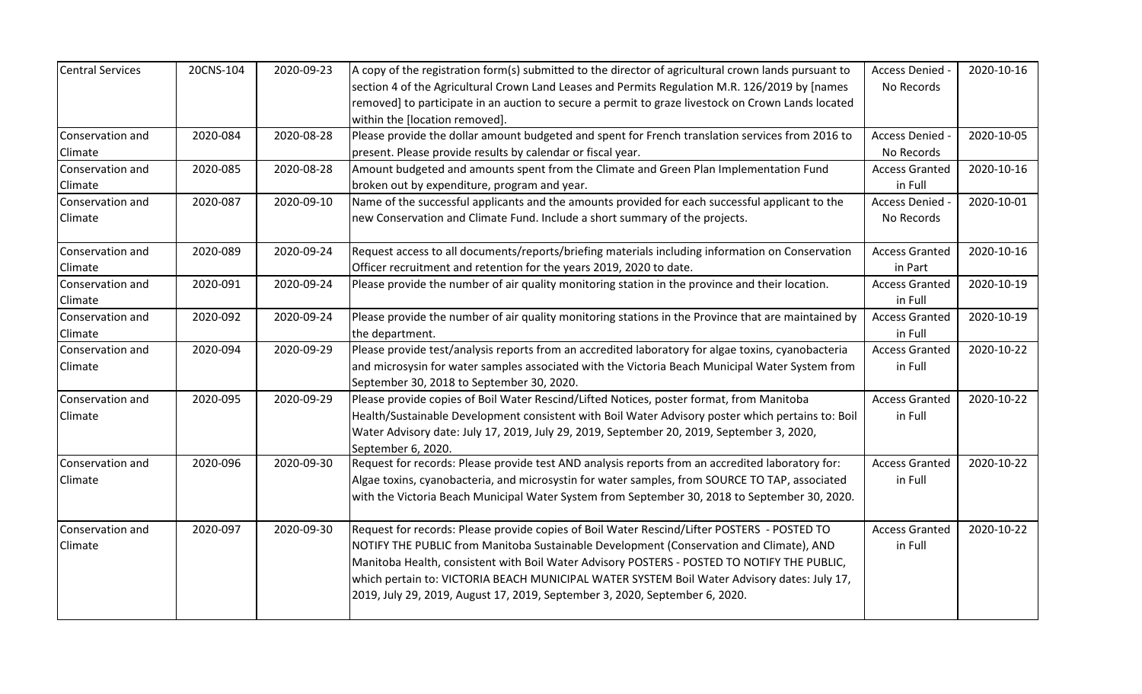| <b>Central Services</b> | 20CNS-104 | 2020-09-23 | A copy of the registration form(s) submitted to the director of agricultural crown lands pursuant to                   | Access Denied -       | 2020-10-16 |
|-------------------------|-----------|------------|------------------------------------------------------------------------------------------------------------------------|-----------------------|------------|
|                         |           |            | section 4 of the Agricultural Crown Land Leases and Permits Regulation M.R. 126/2019 by [names                         | No Records            |            |
|                         |           |            | removed] to participate in an auction to secure a permit to graze livestock on Crown Lands located                     |                       |            |
|                         |           |            | within the [location removed].                                                                                         |                       |            |
| Conservation and        | 2020-084  | 2020-08-28 | Please provide the dollar amount budgeted and spent for French translation services from 2016 to                       | Access Denied -       | 2020-10-05 |
| Climate                 |           |            | present. Please provide results by calendar or fiscal year.                                                            | No Records            |            |
| Conservation and        | 2020-085  | 2020-08-28 | Amount budgeted and amounts spent from the Climate and Green Plan Implementation Fund                                  | <b>Access Granted</b> | 2020-10-16 |
| Climate                 |           |            | broken out by expenditure, program and year.                                                                           | in Full               |            |
| Conservation and        | 2020-087  | 2020-09-10 | Name of the successful applicants and the amounts provided for each successful applicant to the                        | Access Denied -       | 2020-10-01 |
| Climate                 |           |            | new Conservation and Climate Fund. Include a short summary of the projects.                                            | No Records            |            |
| Conservation and        | 2020-089  | 2020-09-24 | Request access to all documents/reports/briefing materials including information on Conservation                       | <b>Access Granted</b> | 2020-10-16 |
| Climate                 |           |            | Officer recruitment and retention for the years 2019, 2020 to date.                                                    | in Part               |            |
| Conservation and        | 2020-091  | 2020-09-24 | Please provide the number of air quality monitoring station in the province and their location.                        | <b>Access Granted</b> | 2020-10-19 |
| Climate                 |           |            |                                                                                                                        | in Full               |            |
| Conservation and        | 2020-092  | 2020-09-24 | Please provide the number of air quality monitoring stations in the Province that are maintained by                    | <b>Access Granted</b> | 2020-10-19 |
| Climate                 |           |            | the department.                                                                                                        | in Full               |            |
| Conservation and        | 2020-094  | 2020-09-29 | Please provide test/analysis reports from an accredited laboratory for algae toxins, cyanobacteria                     | <b>Access Granted</b> | 2020-10-22 |
| Climate                 |           |            | and microsysin for water samples associated with the Victoria Beach Municipal Water System from                        | in Full               |            |
|                         |           |            | September 30, 2018 to September 30, 2020.                                                                              |                       |            |
| Conservation and        | 2020-095  | 2020-09-29 | Please provide copies of Boil Water Rescind/Lifted Notices, poster format, from Manitoba                               | <b>Access Granted</b> | 2020-10-22 |
| Climate                 |           |            | Health/Sustainable Development consistent with Boil Water Advisory poster which pertains to: Boil                      | in Full               |            |
|                         |           |            | Water Advisory date: July 17, 2019, July 29, 2019, September 20, 2019, September 3, 2020,                              |                       |            |
| Conservation and        | 2020-096  | 2020-09-30 | September 6, 2020.<br>Request for records: Please provide test AND analysis reports from an accredited laboratory for: | <b>Access Granted</b> | 2020-10-22 |
| Climate                 |           |            | Algae toxins, cyanobacteria, and microsystin for water samples, from SOURCE TO TAP, associated                         | in Full               |            |
|                         |           |            | with the Victoria Beach Municipal Water System from September 30, 2018 to September 30, 2020.                          |                       |            |
|                         |           |            |                                                                                                                        |                       |            |
| Conservation and        | 2020-097  | 2020-09-30 | Request for records: Please provide copies of Boil Water Rescind/Lifter POSTERS - POSTED TO                            | <b>Access Granted</b> | 2020-10-22 |
| Climate                 |           |            | NOTIFY THE PUBLIC from Manitoba Sustainable Development (Conservation and Climate), AND                                | in Full               |            |
|                         |           |            | Manitoba Health, consistent with Boil Water Advisory POSTERS - POSTED TO NOTIFY THE PUBLIC,                            |                       |            |
|                         |           |            | which pertain to: VICTORIA BEACH MUNICIPAL WATER SYSTEM Boil Water Advisory dates: July 17,                            |                       |            |
|                         |           |            | 2019, July 29, 2019, August 17, 2019, September 3, 2020, September 6, 2020.                                            |                       |            |
|                         |           |            |                                                                                                                        |                       |            |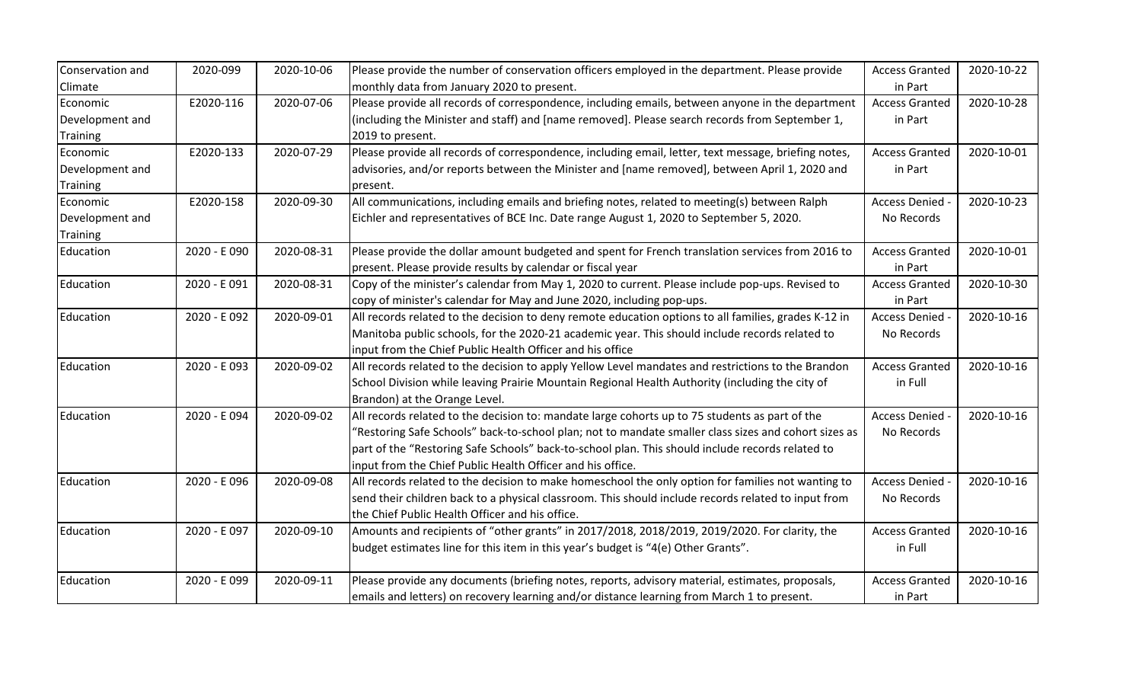| Conservation and | 2020-099     | 2020-10-06 | Please provide the number of conservation officers employed in the department. Please provide        | <b>Access Granted</b> | 2020-10-22 |
|------------------|--------------|------------|------------------------------------------------------------------------------------------------------|-----------------------|------------|
| Climate          |              |            | monthly data from January 2020 to present.                                                           | in Part               |            |
| Economic         | E2020-116    | 2020-07-06 | Please provide all records of correspondence, including emails, between anyone in the department     | <b>Access Granted</b> | 2020-10-28 |
| Development and  |              |            | (including the Minister and staff) and [name removed]. Please search records from September 1,       | in Part               |            |
| Training         |              |            | 2019 to present.                                                                                     |                       |            |
| Economic         | E2020-133    | 2020-07-29 | Please provide all records of correspondence, including email, letter, text message, briefing notes, | <b>Access Granted</b> | 2020-10-01 |
| Development and  |              |            | advisories, and/or reports between the Minister and [name removed], between April 1, 2020 and        | in Part               |            |
| <b>Training</b>  |              |            | present.                                                                                             |                       |            |
| Economic         | E2020-158    | 2020-09-30 | All communications, including emails and briefing notes, related to meeting(s) between Ralph         | Access Denied -       | 2020-10-23 |
| Development and  |              |            | Eichler and representatives of BCE Inc. Date range August 1, 2020 to September 5, 2020.              | No Records            |            |
| Training         |              |            |                                                                                                      |                       |            |
| Education        | 2020 - E 090 | 2020-08-31 | Please provide the dollar amount budgeted and spent for French translation services from 2016 to     | <b>Access Granted</b> | 2020-10-01 |
|                  |              |            | present. Please provide results by calendar or fiscal year                                           | in Part               |            |
| Education        | 2020 - E 091 | 2020-08-31 | Copy of the minister's calendar from May 1, 2020 to current. Please include pop-ups. Revised to      | <b>Access Granted</b> | 2020-10-30 |
|                  |              |            | copy of minister's calendar for May and June 2020, including pop-ups.                                | in Part               |            |
| Education        | 2020 - E092  | 2020-09-01 | All records related to the decision to deny remote education options to all families, grades K-12 in | <b>Access Denied</b>  | 2020-10-16 |
|                  |              |            | Manitoba public schools, for the 2020-21 academic year. This should include records related to       | No Records            |            |
|                  |              |            | input from the Chief Public Health Officer and his office                                            |                       |            |
| Education        | 2020 - E093  | 2020-09-02 | All records related to the decision to apply Yellow Level mandates and restrictions to the Brandon   | <b>Access Granted</b> | 2020-10-16 |
|                  |              |            | School Division while leaving Prairie Mountain Regional Health Authority (including the city of      | in Full               |            |
|                  |              |            | Brandon) at the Orange Level.                                                                        |                       |            |
| Education        | 2020 - E 094 | 2020-09-02 | All records related to the decision to: mandate large cohorts up to 75 students as part of the       | <b>Access Denied</b>  | 2020-10-16 |
|                  |              |            | 'Restoring Safe Schools" back-to-school plan; not to mandate smaller class sizes and cohort sizes as | No Records            |            |
|                  |              |            | part of the "Restoring Safe Schools" back-to-school plan. This should include records related to     |                       |            |
|                  |              |            | input from the Chief Public Health Officer and his office.                                           |                       |            |
| Education        | 2020 - E 096 | 2020-09-08 | All records related to the decision to make homeschool the only option for families not wanting to   | Access Denied -       | 2020-10-16 |
|                  |              |            | send their children back to a physical classroom. This should include records related to input from  | No Records            |            |
|                  |              |            | the Chief Public Health Officer and his office.                                                      |                       |            |
| Education        | 2020 - E097  | 2020-09-10 | Amounts and recipients of "other grants" in 2017/2018, 2018/2019, 2019/2020. For clarity, the        | <b>Access Granted</b> | 2020-10-16 |
|                  |              |            | budget estimates line for this item in this year's budget is "4(e) Other Grants".                    | in Full               |            |
| Education        | 2020 - E099  | 2020-09-11 | Please provide any documents (briefing notes, reports, advisory material, estimates, proposals,      | <b>Access Granted</b> | 2020-10-16 |
|                  |              |            | emails and letters) on recovery learning and/or distance learning from March 1 to present.           | in Part               |            |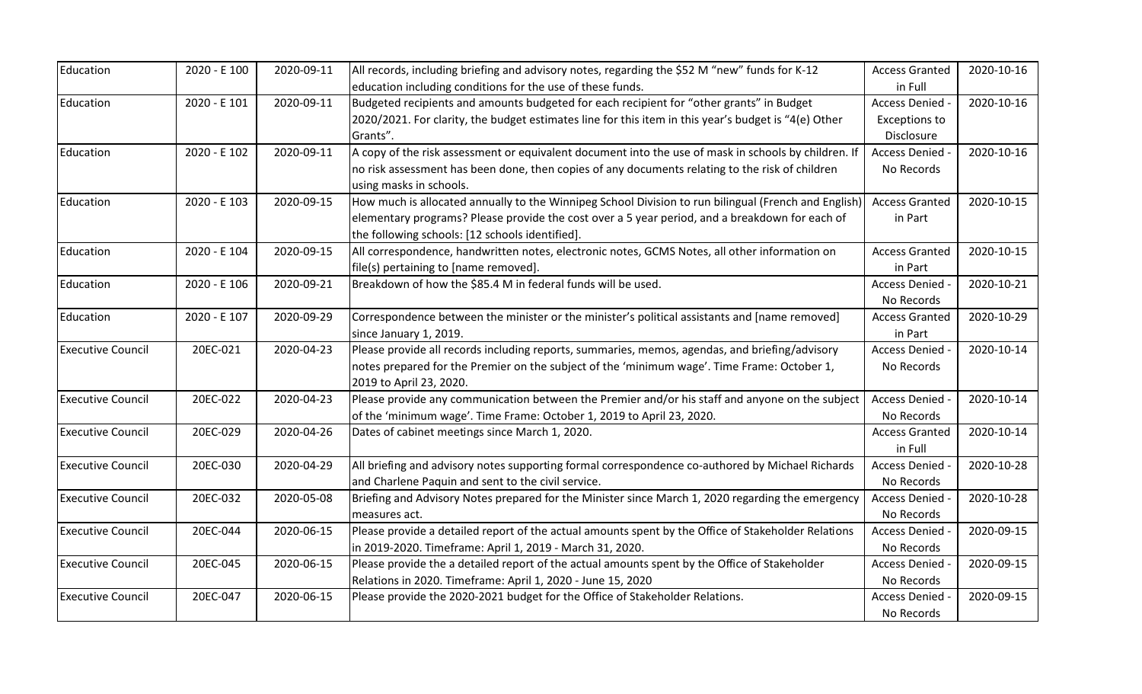| Education                | 2020 - E 100 | 2020-09-11 | All records, including briefing and advisory notes, regarding the \$52 M "new" funds for K-12        | <b>Access Granted</b> | 2020-10-16 |
|--------------------------|--------------|------------|------------------------------------------------------------------------------------------------------|-----------------------|------------|
|                          |              |            | education including conditions for the use of these funds.                                           | in Full               |            |
| Education                | 2020 - E 101 | 2020-09-11 | Budgeted recipients and amounts budgeted for each recipient for "other grants" in Budget             | Access Denied -       | 2020-10-16 |
|                          |              |            | 2020/2021. For clarity, the budget estimates line for this item in this year's budget is "4(e) Other | <b>Exceptions to</b>  |            |
|                          |              |            | Grants".                                                                                             | Disclosure            |            |
| Education                | 2020 - E 102 | 2020-09-11 | A copy of the risk assessment or equivalent document into the use of mask in schools by children. If | Access Denied -       | 2020-10-16 |
|                          |              |            | no risk assessment has been done, then copies of any documents relating to the risk of children      | No Records            |            |
|                          |              |            | using masks in schools.                                                                              |                       |            |
| Education                | 2020 - E 103 | 2020-09-15 | How much is allocated annually to the Winnipeg School Division to run bilingual (French and English) | <b>Access Granted</b> | 2020-10-15 |
|                          |              |            | elementary programs? Please provide the cost over a 5 year period, and a breakdown for each of       | in Part               |            |
|                          |              |            | the following schools: [12 schools identified].                                                      |                       |            |
| Education                | 2020 - E 104 | 2020-09-15 | All correspondence, handwritten notes, electronic notes, GCMS Notes, all other information on        | <b>Access Granted</b> | 2020-10-15 |
|                          |              |            | file(s) pertaining to [name removed].                                                                | in Part               |            |
| Education                | 2020 - E 106 | 2020-09-21 | Breakdown of how the \$85.4 M in federal funds will be used.                                         | Access Denied -       | 2020-10-21 |
|                          |              |            |                                                                                                      | No Records            |            |
| Education                | 2020 - E 107 | 2020-09-29 | Correspondence between the minister or the minister's political assistants and [name removed]        | <b>Access Granted</b> | 2020-10-29 |
|                          |              |            | since January 1, 2019.                                                                               | in Part               |            |
| <b>Executive Council</b> | 20EC-021     | 2020-04-23 | Please provide all records including reports, summaries, memos, agendas, and briefing/advisory       | Access Denied -       | 2020-10-14 |
|                          |              |            | notes prepared for the Premier on the subject of the 'minimum wage'. Time Frame: October 1,          | No Records            |            |
|                          |              |            | 2019 to April 23, 2020.                                                                              |                       |            |
| <b>Executive Council</b> | 20EC-022     | 2020-04-23 | Please provide any communication between the Premier and/or his staff and anyone on the subject      | Access Denied -       | 2020-10-14 |
|                          |              |            | of the 'minimum wage'. Time Frame: October 1, 2019 to April 23, 2020.                                | No Records            |            |
| <b>Executive Council</b> | 20EC-029     | 2020-04-26 | Dates of cabinet meetings since March 1, 2020.                                                       | <b>Access Granted</b> | 2020-10-14 |
|                          |              |            |                                                                                                      | in Full               |            |
| <b>Executive Council</b> | 20EC-030     | 2020-04-29 | All briefing and advisory notes supporting formal correspondence co-authored by Michael Richards     | Access Denied -       | 2020-10-28 |
|                          |              |            | and Charlene Paquin and sent to the civil service.                                                   | No Records            |            |
| <b>Executive Council</b> | 20EC-032     | 2020-05-08 | Briefing and Advisory Notes prepared for the Minister since March 1, 2020 regarding the emergency    | Access Denied -       | 2020-10-28 |
|                          |              |            | measures act.                                                                                        | No Records            |            |
| <b>Executive Council</b> | 20EC-044     | 2020-06-15 | Please provide a detailed report of the actual amounts spent by the Office of Stakeholder Relations  | Access Denied -       | 2020-09-15 |
|                          |              |            | in 2019-2020. Timeframe: April 1, 2019 - March 31, 2020.                                             | No Records            |            |
| <b>Executive Council</b> | 20EC-045     | 2020-06-15 | Please provide the a detailed report of the actual amounts spent by the Office of Stakeholder        | Access Denied -       | 2020-09-15 |
|                          |              |            | Relations in 2020. Timeframe: April 1, 2020 - June 15, 2020                                          | No Records            |            |
| <b>Executive Council</b> | 20EC-047     | 2020-06-15 | Please provide the 2020-2021 budget for the Office of Stakeholder Relations.                         | <b>Access Denied</b>  | 2020-09-15 |
|                          |              |            |                                                                                                      | No Records            |            |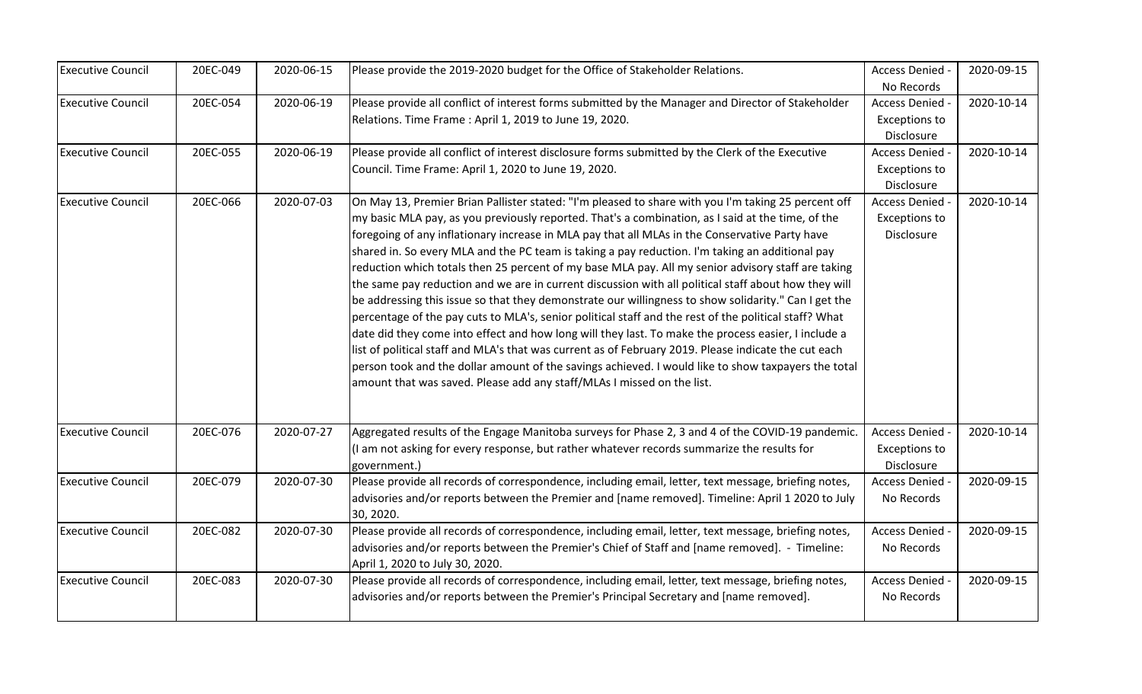| <b>Executive Council</b> | 20EC-049 | 2020-06-15 | Please provide the 2019-2020 budget for the Office of Stakeholder Relations.                          | Access Denied -      | 2020-09-15 |
|--------------------------|----------|------------|-------------------------------------------------------------------------------------------------------|----------------------|------------|
|                          |          |            |                                                                                                       | No Records           |            |
| <b>Executive Council</b> | 20EC-054 | 2020-06-19 | Please provide all conflict of interest forms submitted by the Manager and Director of Stakeholder    | Access Denied        | 2020-10-14 |
|                          |          |            | Relations. Time Frame: April 1, 2019 to June 19, 2020.                                                | <b>Exceptions to</b> |            |
|                          |          |            |                                                                                                       | Disclosure           |            |
| <b>Executive Council</b> | 20EC-055 | 2020-06-19 | Please provide all conflict of interest disclosure forms submitted by the Clerk of the Executive      | Access Denied -      | 2020-10-14 |
|                          |          |            | Council. Time Frame: April 1, 2020 to June 19, 2020.                                                  | <b>Exceptions to</b> |            |
|                          |          |            |                                                                                                       | Disclosure           |            |
| <b>Executive Council</b> | 20EC-066 | 2020-07-03 | On May 13, Premier Brian Pallister stated: "I'm pleased to share with you I'm taking 25 percent off   | Access Denied -      | 2020-10-14 |
|                          |          |            | my basic MLA pay, as you previously reported. That's a combination, as I said at the time, of the     | <b>Exceptions to</b> |            |
|                          |          |            | foregoing of any inflationary increase in MLA pay that all MLAs in the Conservative Party have        | Disclosure           |            |
|                          |          |            | shared in. So every MLA and the PC team is taking a pay reduction. I'm taking an additional pay       |                      |            |
|                          |          |            | reduction which totals then 25 percent of my base MLA pay. All my senior advisory staff are taking    |                      |            |
|                          |          |            | the same pay reduction and we are in current discussion with all political staff about how they will  |                      |            |
|                          |          |            | be addressing this issue so that they demonstrate our willingness to show solidarity." Can I get the  |                      |            |
|                          |          |            | percentage of the pay cuts to MLA's, senior political staff and the rest of the political staff? What |                      |            |
|                          |          |            | date did they come into effect and how long will they last. To make the process easier, I include a   |                      |            |
|                          |          |            | list of political staff and MLA's that was current as of February 2019. Please indicate the cut each  |                      |            |
|                          |          |            | person took and the dollar amount of the savings achieved. I would like to show taxpayers the total   |                      |            |
|                          |          |            | amount that was saved. Please add any staff/MLAs I missed on the list.                                |                      |            |
| <b>Executive Council</b> | 20EC-076 | 2020-07-27 | Aggregated results of the Engage Manitoba surveys for Phase 2, 3 and 4 of the COVID-19 pandemic.      | Access Denied -      | 2020-10-14 |
|                          |          |            | (I am not asking for every response, but rather whatever records summarize the results for            | <b>Exceptions to</b> |            |
|                          |          |            | government.)                                                                                          | Disclosure           |            |
| <b>Executive Council</b> | 20EC-079 | 2020-07-30 | Please provide all records of correspondence, including email, letter, text message, briefing notes,  | Access Denied -      | 2020-09-15 |
|                          |          |            | advisories and/or reports between the Premier and [name removed]. Timeline: April 1 2020 to July      | No Records           |            |
|                          |          |            | 30, 2020.                                                                                             |                      |            |
| <b>Executive Council</b> | 20EC-082 | 2020-07-30 | Please provide all records of correspondence, including email, letter, text message, briefing notes,  | Access Denied -      | 2020-09-15 |
|                          |          |            | advisories and/or reports between the Premier's Chief of Staff and [name removed]. - Timeline:        | No Records           |            |
|                          |          |            | April 1, 2020 to July 30, 2020.                                                                       |                      |            |
| <b>Executive Council</b> | 20EC-083 | 2020-07-30 | Please provide all records of correspondence, including email, letter, text message, briefing notes,  | <b>Access Denied</b> | 2020-09-15 |
|                          |          |            | advisories and/or reports between the Premier's Principal Secretary and [name removed].               | No Records           |            |
|                          |          |            |                                                                                                       |                      |            |
|                          |          |            |                                                                                                       |                      |            |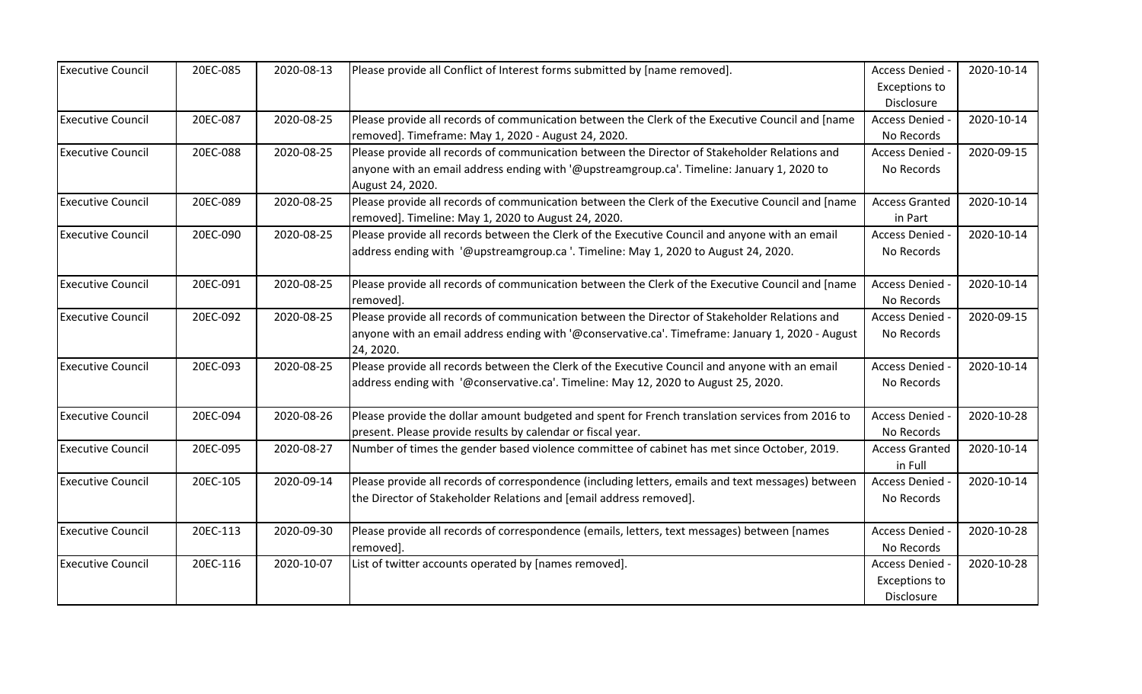| <b>Executive Council</b> | 20EC-085 | 2020-08-13 | Please provide all Conflict of Interest forms submitted by [name removed].                                    | Access Denied -       | 2020-10-14 |
|--------------------------|----------|------------|---------------------------------------------------------------------------------------------------------------|-----------------------|------------|
|                          |          |            |                                                                                                               | <b>Exceptions to</b>  |            |
|                          |          |            |                                                                                                               | Disclosure            |            |
| <b>Executive Council</b> | 20EC-087 | 2020-08-25 | Please provide all records of communication between the Clerk of the Executive Council and [name              | Access Denied -       | 2020-10-14 |
|                          |          |            | removed]. Timeframe: May 1, 2020 - August 24, 2020.                                                           | No Records            |            |
| <b>Executive Council</b> | 20EC-088 | 2020-08-25 | Please provide all records of communication between the Director of Stakeholder Relations and                 | Access Denied -       | 2020-09-15 |
|                          |          |            | anyone with an email address ending with '@upstreamgroup.ca'. Timeline: January 1, 2020 to                    | No Records            |            |
|                          |          |            | August 24, 2020.                                                                                              |                       |            |
| <b>Executive Council</b> | 20EC-089 | 2020-08-25 | Please provide all records of communication between the Clerk of the Executive Council and [name              | <b>Access Granted</b> | 2020-10-14 |
|                          |          |            | removed]. Timeline: May 1, 2020 to August 24, 2020.                                                           | in Part               |            |
| <b>Executive Council</b> | 20EC-090 | 2020-08-25 | Please provide all records between the Clerk of the Executive Council and anyone with an email                | Access Denied -       | 2020-10-14 |
|                          |          |            | address ending with '@upstreamgroup.ca '. Timeline: May 1, 2020 to August 24, 2020.                           | No Records            |            |
| <b>Executive Council</b> | 20EC-091 | 2020-08-25 | Please provide all records of communication between the Clerk of the Executive Council and [name              | Access Denied -       | 2020-10-14 |
|                          |          |            | removed].                                                                                                     | No Records            |            |
| <b>Executive Council</b> | 20EC-092 | 2020-08-25 | Please provide all records of communication between the Director of Stakeholder Relations and                 | Access Denied -       | 2020-09-15 |
|                          |          |            | anyone with an email address ending with '@conservative.ca'. Timeframe: January 1, 2020 - August<br>24, 2020. | No Records            |            |
| <b>Executive Council</b> | 20EC-093 | 2020-08-25 | Please provide all records between the Clerk of the Executive Council and anyone with an email                | Access Denied -       | 2020-10-14 |
|                          |          |            | address ending with '@conservative.ca'. Timeline: May 12, 2020 to August 25, 2020.                            | No Records            |            |
|                          |          |            |                                                                                                               |                       |            |
| <b>Executive Council</b> | 20EC-094 | 2020-08-26 | Please provide the dollar amount budgeted and spent for French translation services from 2016 to              | Access Denied -       | 2020-10-28 |
|                          |          |            | present. Please provide results by calendar or fiscal year.                                                   | No Records            |            |
| <b>Executive Council</b> | 20EC-095 | 2020-08-27 | Number of times the gender based violence committee of cabinet has met since October, 2019.                   | <b>Access Granted</b> | 2020-10-14 |
|                          |          |            |                                                                                                               | in Full               |            |
| <b>Executive Council</b> | 20EC-105 | 2020-09-14 | Please provide all records of correspondence (including letters, emails and text messages) between            | Access Denied -       | 2020-10-14 |
|                          |          |            | the Director of Stakeholder Relations and [email address removed].                                            | No Records            |            |
| <b>Executive Council</b> | 20EC-113 | 2020-09-30 | Please provide all records of correspondence (emails, letters, text messages) between [names                  | Access Denied -       | 2020-10-28 |
|                          |          |            | removed].                                                                                                     | No Records            |            |
| <b>Executive Council</b> | 20EC-116 | 2020-10-07 | List of twitter accounts operated by [names removed].                                                         | Access Denied -       | 2020-10-28 |
|                          |          |            |                                                                                                               | <b>Exceptions to</b>  |            |
|                          |          |            |                                                                                                               | Disclosure            |            |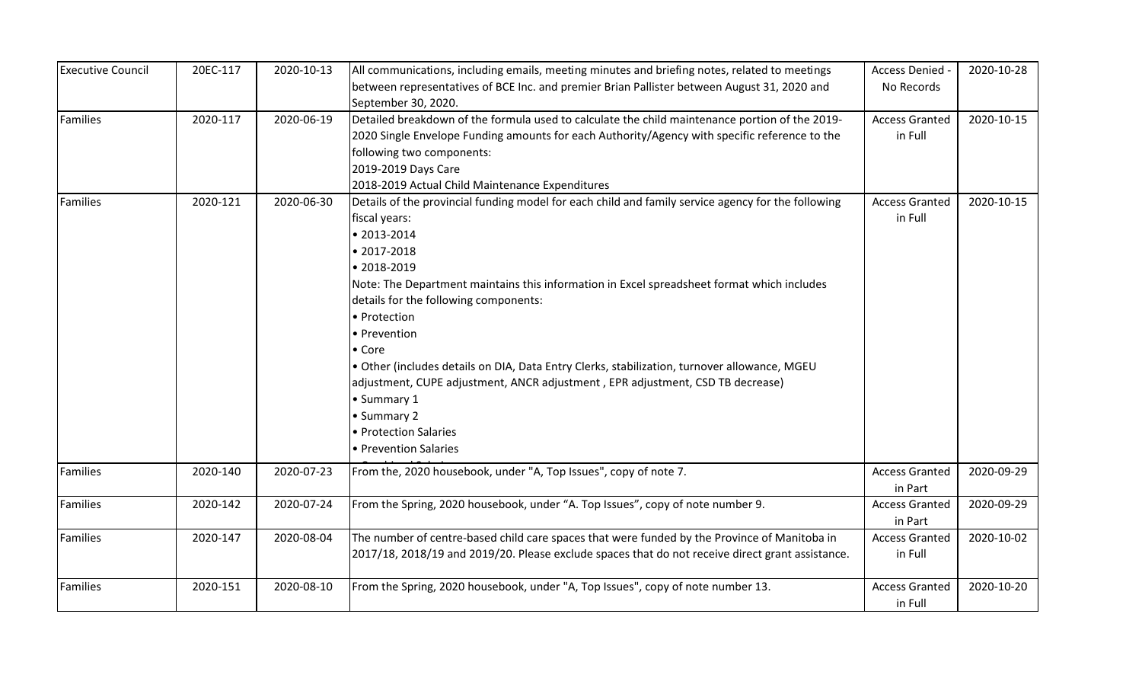| <b>Executive Council</b> | 20EC-117 | 2020-10-13 | All communications, including emails, meeting minutes and briefing notes, related to meetings      | Access Denied -       | 2020-10-28 |
|--------------------------|----------|------------|----------------------------------------------------------------------------------------------------|-----------------------|------------|
|                          |          |            | between representatives of BCE Inc. and premier Brian Pallister between August 31, 2020 and        | No Records            |            |
|                          |          |            | September 30, 2020.                                                                                |                       |            |
| <b>Families</b>          | 2020-117 | 2020-06-19 | Detailed breakdown of the formula used to calculate the child maintenance portion of the 2019-     | <b>Access Granted</b> | 2020-10-15 |
|                          |          |            | 2020 Single Envelope Funding amounts for each Authority/Agency with specific reference to the      | in Full               |            |
|                          |          |            | following two components:                                                                          |                       |            |
|                          |          |            | 2019-2019 Days Care                                                                                |                       |            |
|                          |          |            | 2018-2019 Actual Child Maintenance Expenditures                                                    |                       |            |
| Families                 | 2020-121 | 2020-06-30 | Details of the provincial funding model for each child and family service agency for the following | <b>Access Granted</b> | 2020-10-15 |
|                          |          |            | fiscal years:                                                                                      | in Full               |            |
|                          |          |            | $• 2013 - 2014$                                                                                    |                       |            |
|                          |          |            | $• 2017 - 2018$                                                                                    |                       |            |
|                          |          |            | • 2018-2019                                                                                        |                       |            |
|                          |          |            | Note: The Department maintains this information in Excel spreadsheet format which includes         |                       |            |
|                          |          |            | details for the following components:                                                              |                       |            |
|                          |          |            | • Protection                                                                                       |                       |            |
|                          |          |            | • Prevention                                                                                       |                       |            |
|                          |          |            | • Core                                                                                             |                       |            |
|                          |          |            | · Other (includes details on DIA, Data Entry Clerks, stabilization, turnover allowance, MGEU       |                       |            |
|                          |          |            | adjustment, CUPE adjustment, ANCR adjustment, EPR adjustment, CSD TB decrease)                     |                       |            |
|                          |          |            | • Summary 1                                                                                        |                       |            |
|                          |          |            | • Summary 2                                                                                        |                       |            |
|                          |          |            | · Protection Salaries                                                                              |                       |            |
|                          |          |            | • Prevention Salaries                                                                              |                       |            |
| Families                 | 2020-140 | 2020-07-23 | From the, 2020 housebook, under "A, Top Issues", copy of note 7.                                   | <b>Access Granted</b> | 2020-09-29 |
|                          |          |            |                                                                                                    | in Part               |            |
| Families                 | 2020-142 | 2020-07-24 | From the Spring, 2020 housebook, under "A. Top Issues", copy of note number 9.                     | <b>Access Granted</b> | 2020-09-29 |
|                          |          |            |                                                                                                    | in Part               |            |
| <b>Families</b>          | 2020-147 | 2020-08-04 | The number of centre-based child care spaces that were funded by the Province of Manitoba in       | <b>Access Granted</b> | 2020-10-02 |
|                          |          |            | 2017/18, 2018/19 and 2019/20. Please exclude spaces that do not receive direct grant assistance.   | in Full               |            |
| Families                 | 2020-151 | 2020-08-10 | From the Spring, 2020 housebook, under "A, Top Issues", copy of note number 13.                    | <b>Access Granted</b> | 2020-10-20 |
|                          |          |            |                                                                                                    | in Full               |            |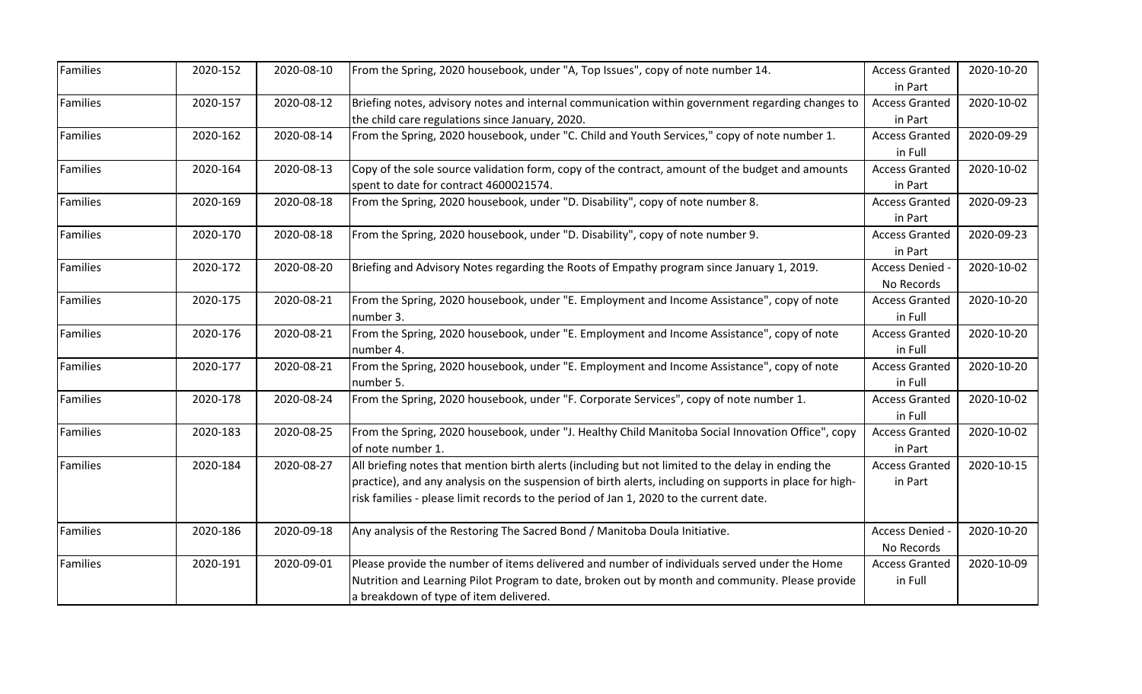| 2020-152 | 2020-08-10                       | From the Spring, 2020 housebook, under "A, Top Issues", copy of note number 14.                         | <b>Access Granted</b>                                                                                                                                                                                                                                                                                                                                                                                                                                                                                                                | 2020-10-20                                                                                                 |
|----------|----------------------------------|---------------------------------------------------------------------------------------------------------|--------------------------------------------------------------------------------------------------------------------------------------------------------------------------------------------------------------------------------------------------------------------------------------------------------------------------------------------------------------------------------------------------------------------------------------------------------------------------------------------------------------------------------------|------------------------------------------------------------------------------------------------------------|
|          |                                  |                                                                                                         |                                                                                                                                                                                                                                                                                                                                                                                                                                                                                                                                      |                                                                                                            |
|          |                                  |                                                                                                         |                                                                                                                                                                                                                                                                                                                                                                                                                                                                                                                                      | 2020-10-02                                                                                                 |
|          |                                  |                                                                                                         | in Part                                                                                                                                                                                                                                                                                                                                                                                                                                                                                                                              |                                                                                                            |
| 2020-162 |                                  |                                                                                                         | <b>Access Granted</b>                                                                                                                                                                                                                                                                                                                                                                                                                                                                                                                | 2020-09-29                                                                                                 |
|          |                                  |                                                                                                         | in Full                                                                                                                                                                                                                                                                                                                                                                                                                                                                                                                              |                                                                                                            |
| 2020-164 | 2020-08-13                       | Copy of the sole source validation form, copy of the contract, amount of the budget and amounts         | <b>Access Granted</b>                                                                                                                                                                                                                                                                                                                                                                                                                                                                                                                | 2020-10-02                                                                                                 |
|          |                                  | spent to date for contract 4600021574.                                                                  | in Part                                                                                                                                                                                                                                                                                                                                                                                                                                                                                                                              |                                                                                                            |
| 2020-169 | 2020-08-18                       | From the Spring, 2020 housebook, under "D. Disability", copy of note number 8.                          | <b>Access Granted</b>                                                                                                                                                                                                                                                                                                                                                                                                                                                                                                                | 2020-09-23                                                                                                 |
|          |                                  |                                                                                                         | in Part                                                                                                                                                                                                                                                                                                                                                                                                                                                                                                                              |                                                                                                            |
| 2020-170 | 2020-08-18                       | From the Spring, 2020 housebook, under "D. Disability", copy of note number 9.                          | <b>Access Granted</b>                                                                                                                                                                                                                                                                                                                                                                                                                                                                                                                | 2020-09-23                                                                                                 |
|          |                                  |                                                                                                         | in Part                                                                                                                                                                                                                                                                                                                                                                                                                                                                                                                              |                                                                                                            |
| 2020-172 | 2020-08-20                       | Briefing and Advisory Notes regarding the Roots of Empathy program since January 1, 2019.               | Access Denied -                                                                                                                                                                                                                                                                                                                                                                                                                                                                                                                      | 2020-10-02                                                                                                 |
|          |                                  |                                                                                                         | No Records                                                                                                                                                                                                                                                                                                                                                                                                                                                                                                                           |                                                                                                            |
| 2020-175 | 2020-08-21                       | From the Spring, 2020 housebook, under "E. Employment and Income Assistance", copy of note              | <b>Access Granted</b>                                                                                                                                                                                                                                                                                                                                                                                                                                                                                                                | 2020-10-20                                                                                                 |
|          |                                  | number 3.                                                                                               | in Full                                                                                                                                                                                                                                                                                                                                                                                                                                                                                                                              |                                                                                                            |
| 2020-176 | 2020-08-21                       | From the Spring, 2020 housebook, under "E. Employment and Income Assistance", copy of note              | <b>Access Granted</b>                                                                                                                                                                                                                                                                                                                                                                                                                                                                                                                | 2020-10-20                                                                                                 |
|          |                                  | number 4.                                                                                               | in Full                                                                                                                                                                                                                                                                                                                                                                                                                                                                                                                              |                                                                                                            |
| 2020-177 | 2020-08-21                       | From the Spring, 2020 housebook, under "E. Employment and Income Assistance", copy of note              | <b>Access Granted</b>                                                                                                                                                                                                                                                                                                                                                                                                                                                                                                                | 2020-10-20                                                                                                 |
|          |                                  | number 5.                                                                                               | in Full                                                                                                                                                                                                                                                                                                                                                                                                                                                                                                                              |                                                                                                            |
| 2020-178 | 2020-08-24                       | From the Spring, 2020 housebook, under "F. Corporate Services", copy of note number 1.                  | <b>Access Granted</b>                                                                                                                                                                                                                                                                                                                                                                                                                                                                                                                | 2020-10-02                                                                                                 |
|          |                                  |                                                                                                         | in Full                                                                                                                                                                                                                                                                                                                                                                                                                                                                                                                              |                                                                                                            |
| 2020-183 | 2020-08-25                       | From the Spring, 2020 housebook, under "J. Healthy Child Manitoba Social Innovation Office", copy       | <b>Access Granted</b>                                                                                                                                                                                                                                                                                                                                                                                                                                                                                                                | 2020-10-02                                                                                                 |
|          |                                  | of note number 1.                                                                                       | in Part                                                                                                                                                                                                                                                                                                                                                                                                                                                                                                                              |                                                                                                            |
| 2020-184 | 2020-08-27                       | All briefing notes that mention birth alerts (including but not limited to the delay in ending the      | <b>Access Granted</b>                                                                                                                                                                                                                                                                                                                                                                                                                                                                                                                | 2020-10-15                                                                                                 |
|          |                                  | practice), and any analysis on the suspension of birth alerts, including on supports in place for high- | in Part                                                                                                                                                                                                                                                                                                                                                                                                                                                                                                                              |                                                                                                            |
|          |                                  | risk families - please limit records to the period of Jan 1, 2020 to the current date.                  |                                                                                                                                                                                                                                                                                                                                                                                                                                                                                                                                      |                                                                                                            |
|          |                                  |                                                                                                         |                                                                                                                                                                                                                                                                                                                                                                                                                                                                                                                                      | 2020-10-20                                                                                                 |
|          |                                  |                                                                                                         |                                                                                                                                                                                                                                                                                                                                                                                                                                                                                                                                      |                                                                                                            |
|          |                                  |                                                                                                         |                                                                                                                                                                                                                                                                                                                                                                                                                                                                                                                                      | 2020-10-09                                                                                                 |
|          |                                  |                                                                                                         |                                                                                                                                                                                                                                                                                                                                                                                                                                                                                                                                      |                                                                                                            |
|          |                                  | a breakdown of type of item delivered.                                                                  |                                                                                                                                                                                                                                                                                                                                                                                                                                                                                                                                      |                                                                                                            |
|          | 2020-157<br>2020-186<br>2020-191 | 2020-08-12<br>2020-08-14<br>2020-09-18<br>2020-09-01                                                    | Briefing notes, advisory notes and internal communication within government regarding changes to<br>the child care regulations since January, 2020.<br>From the Spring, 2020 housebook, under "C. Child and Youth Services," copy of note number 1.<br>Any analysis of the Restoring The Sacred Bond / Manitoba Doula Initiative.<br>Please provide the number of items delivered and number of individuals served under the Home<br>Nutrition and Learning Pilot Program to date, broken out by month and community. Please provide | in Part<br><b>Access Granted</b><br><b>Access Denied</b><br>No Records<br><b>Access Granted</b><br>in Full |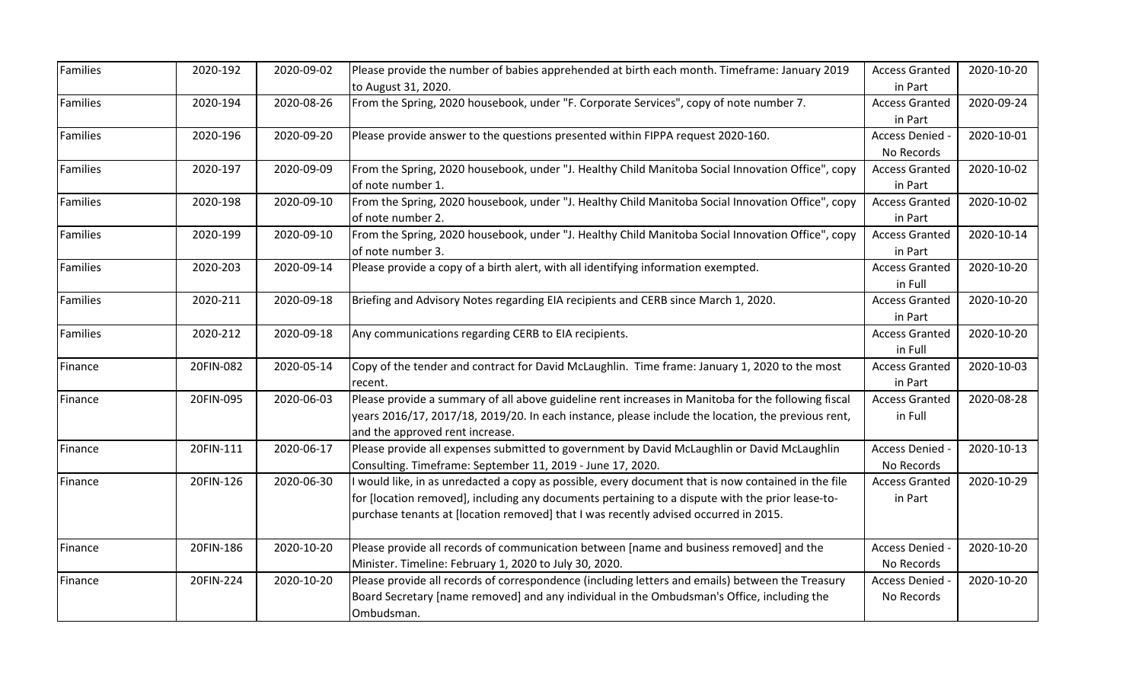| Families        | 2020-192  | 2020-09-02 | Please provide the number of babies apprehended at birth each month. Timeframe: January 2019        | <b>Access Granted</b> | 2020-10-20 |
|-----------------|-----------|------------|-----------------------------------------------------------------------------------------------------|-----------------------|------------|
|                 |           |            | to August 31, 2020.                                                                                 | in Part               |            |
| Families        | 2020-194  | 2020-08-26 | From the Spring, 2020 housebook, under "F. Corporate Services", copy of note number 7.              | <b>Access Granted</b> | 2020-09-24 |
|                 |           |            |                                                                                                     | in Part               |            |
| Families        | 2020-196  | 2020-09-20 | Please provide answer to the questions presented within FIPPA request 2020-160.                     | Access Denied -       | 2020-10-01 |
|                 |           |            |                                                                                                     | No Records            |            |
| <b>Families</b> | 2020-197  | 2020-09-09 | From the Spring, 2020 housebook, under "J. Healthy Child Manitoba Social Innovation Office", copy   | <b>Access Granted</b> | 2020-10-02 |
|                 |           |            | of note number 1.                                                                                   | in Part               |            |
| <b>Families</b> | 2020-198  | 2020-09-10 | From the Spring, 2020 housebook, under "J. Healthy Child Manitoba Social Innovation Office", copy   | <b>Access Granted</b> | 2020-10-02 |
|                 |           |            | of note number 2.                                                                                   | in Part               |            |
| <b>Families</b> | 2020-199  | 2020-09-10 | From the Spring, 2020 housebook, under "J. Healthy Child Manitoba Social Innovation Office", copy   | <b>Access Granted</b> | 2020-10-14 |
|                 |           |            | of note number 3.                                                                                   | in Part               |            |
| Families        | 2020-203  | 2020-09-14 | Please provide a copy of a birth alert, with all identifying information exempted.                  | <b>Access Granted</b> | 2020-10-20 |
|                 |           |            |                                                                                                     | in Full               |            |
| Families        | 2020-211  | 2020-09-18 | Briefing and Advisory Notes regarding EIA recipients and CERB since March 1, 2020.                  | <b>Access Granted</b> | 2020-10-20 |
|                 |           |            |                                                                                                     | in Part               |            |
| Families        | 2020-212  | 2020-09-18 | Any communications regarding CERB to EIA recipients.                                                | <b>Access Granted</b> | 2020-10-20 |
|                 |           |            |                                                                                                     | in Full               |            |
| Finance         | 20FIN-082 | 2020-05-14 | Copy of the tender and contract for David McLaughlin. Time frame: January 1, 2020 to the most       | <b>Access Granted</b> | 2020-10-03 |
|                 |           |            | recent.                                                                                             | in Part               |            |
| Finance         | 20FIN-095 | 2020-06-03 | Please provide a summary of all above guideline rent increases in Manitoba for the following fiscal | <b>Access Granted</b> | 2020-08-28 |
|                 |           |            | years 2016/17, 2017/18, 2019/20. In each instance, please include the location, the previous rent,  | in Full               |            |
|                 |           |            | and the approved rent increase.                                                                     |                       |            |
| Finance         | 20FIN-111 | 2020-06-17 | Please provide all expenses submitted to government by David McLaughlin or David McLaughlin         | Access Denied -       | 2020-10-13 |
|                 |           |            | Consulting. Timeframe: September 11, 2019 - June 17, 2020.                                          | No Records            |            |
| Finance         | 20FIN-126 | 2020-06-30 | would like, in as unredacted a copy as possible, every document that is now contained in the file   | <b>Access Granted</b> | 2020-10-29 |
|                 |           |            | for [location removed], including any documents pertaining to a dispute with the prior lease-to-    | in Part               |            |
|                 |           |            | purchase tenants at [location removed] that I was recently advised occurred in 2015.                |                       |            |
|                 |           |            |                                                                                                     |                       |            |
| Finance         | 20FIN-186 | 2020-10-20 | Please provide all records of communication between [name and business removed] and the             | Access Denied -       | 2020-10-20 |
|                 |           |            | Minister. Timeline: February 1, 2020 to July 30, 2020.                                              | No Records            |            |
| Finance         | 20FIN-224 | 2020-10-20 | Please provide all records of correspondence (including letters and emails) between the Treasury    | Access Denied -       | 2020-10-20 |
|                 |           |            | Board Secretary [name removed] and any individual in the Ombudsman's Office, including the          | No Records            |            |
|                 |           |            | Ombudsman.                                                                                          |                       |            |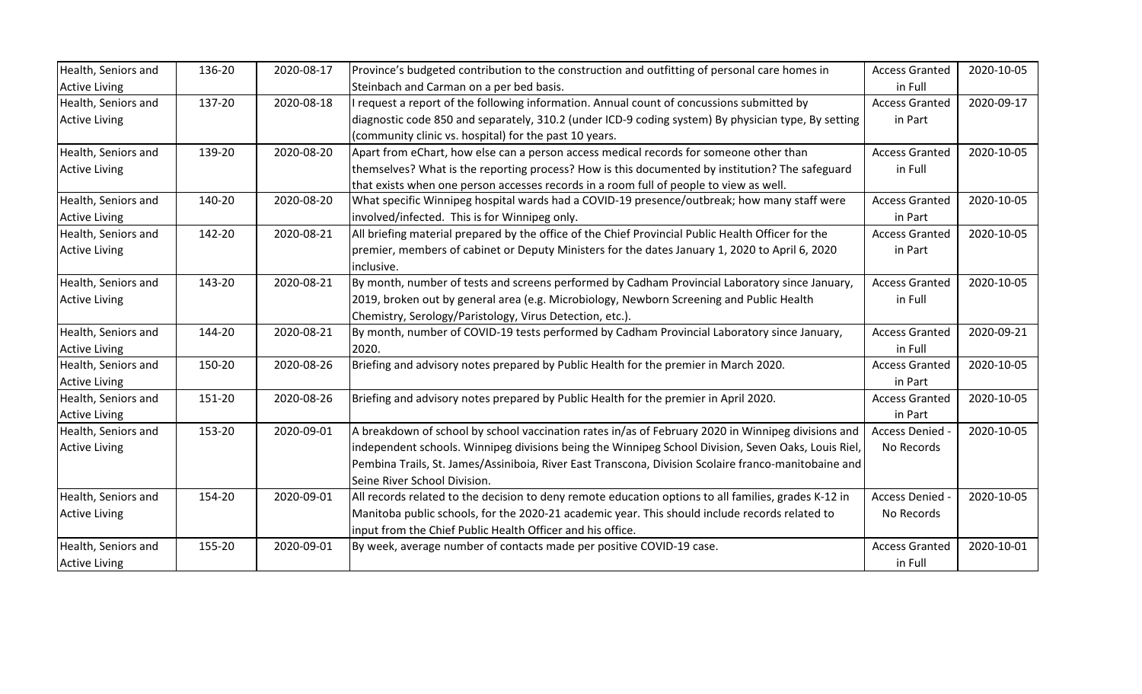| Health, Seniors and  | 136-20 | 2020-08-17 | Province's budgeted contribution to the construction and outfitting of personal care homes in        | <b>Access Granted</b> | 2020-10-05 |
|----------------------|--------|------------|------------------------------------------------------------------------------------------------------|-----------------------|------------|
| <b>Active Living</b> |        |            | Steinbach and Carman on a per bed basis.                                                             | in Full               |            |
| Health, Seniors and  | 137-20 | 2020-08-18 | I request a report of the following information. Annual count of concussions submitted by            | <b>Access Granted</b> | 2020-09-17 |
| <b>Active Living</b> |        |            | diagnostic code 850 and separately, 310.2 (under ICD-9 coding system) By physician type, By setting  | in Part               |            |
|                      |        |            | (community clinic vs. hospital) for the past 10 years.                                               |                       |            |
| Health, Seniors and  | 139-20 | 2020-08-20 | Apart from eChart, how else can a person access medical records for someone other than               | <b>Access Granted</b> | 2020-10-05 |
| <b>Active Living</b> |        |            | themselves? What is the reporting process? How is this documented by institution? The safeguard      | in Full               |            |
|                      |        |            | that exists when one person accesses records in a room full of people to view as well.               |                       |            |
| Health, Seniors and  | 140-20 | 2020-08-20 | What specific Winnipeg hospital wards had a COVID-19 presence/outbreak; how many staff were          | <b>Access Granted</b> | 2020-10-05 |
| <b>Active Living</b> |        |            | involved/infected. This is for Winnipeg only.                                                        | in Part               |            |
| Health, Seniors and  | 142-20 | 2020-08-21 | All briefing material prepared by the office of the Chief Provincial Public Health Officer for the   | <b>Access Granted</b> | 2020-10-05 |
| <b>Active Living</b> |        |            | premier, members of cabinet or Deputy Ministers for the dates January 1, 2020 to April 6, 2020       | in Part               |            |
|                      |        |            | inclusive.                                                                                           |                       |            |
| Health, Seniors and  | 143-20 | 2020-08-21 | By month, number of tests and screens performed by Cadham Provincial Laboratory since January,       | <b>Access Granted</b> | 2020-10-05 |
| <b>Active Living</b> |        |            | 2019, broken out by general area (e.g. Microbiology, Newborn Screening and Public Health             | in Full               |            |
|                      |        |            | Chemistry, Serology/Paristology, Virus Detection, etc.).                                             |                       |            |
| Health, Seniors and  | 144-20 | 2020-08-21 | By month, number of COVID-19 tests performed by Cadham Provincial Laboratory since January,          | <b>Access Granted</b> | 2020-09-21 |
| <b>Active Living</b> |        |            | 2020.                                                                                                | in Full               |            |
| Health, Seniors and  | 150-20 | 2020-08-26 | Briefing and advisory notes prepared by Public Health for the premier in March 2020.                 | <b>Access Granted</b> | 2020-10-05 |
| <b>Active Living</b> |        |            |                                                                                                      | in Part               |            |
| Health, Seniors and  | 151-20 | 2020-08-26 | Briefing and advisory notes prepared by Public Health for the premier in April 2020.                 | <b>Access Granted</b> | 2020-10-05 |
| <b>Active Living</b> |        |            |                                                                                                      | in Part               |            |
| Health, Seniors and  | 153-20 | 2020-09-01 | A breakdown of school by school vaccination rates in/as of February 2020 in Winnipeg divisions and   | Access Denied -       | 2020-10-05 |
| <b>Active Living</b> |        |            | independent schools. Winnipeg divisions being the Winnipeg School Division, Seven Oaks, Louis Riel,  | No Records            |            |
|                      |        |            | Pembina Trails, St. James/Assiniboia, River East Transcona, Division Scolaire franco-manitobaine and |                       |            |
|                      |        |            | Seine River School Division.                                                                         |                       |            |
| Health, Seniors and  | 154-20 | 2020-09-01 | All records related to the decision to deny remote education options to all families, grades K-12 in | Access Denied -       | 2020-10-05 |
| <b>Active Living</b> |        |            | Manitoba public schools, for the 2020-21 academic year. This should include records related to       | No Records            |            |
|                      |        |            | input from the Chief Public Health Officer and his office.                                           |                       |            |
| Health, Seniors and  | 155-20 | 2020-09-01 | By week, average number of contacts made per positive COVID-19 case.                                 | <b>Access Granted</b> | 2020-10-01 |
| <b>Active Living</b> |        |            |                                                                                                      | in Full               |            |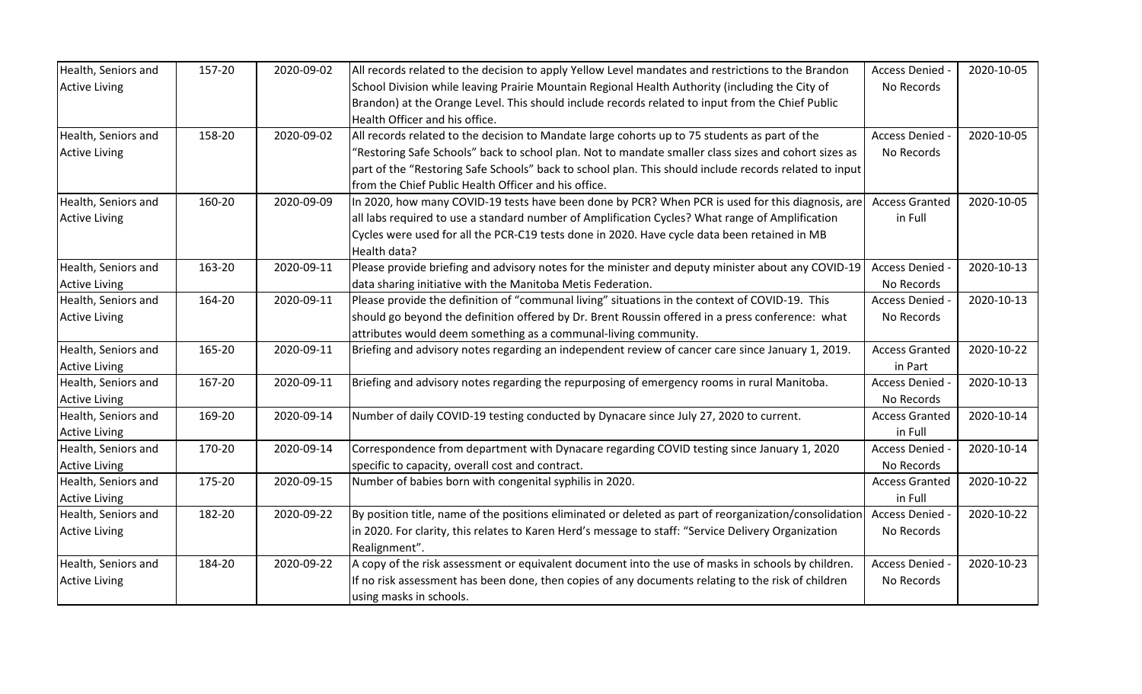| Health, Seniors and  | 157-20 | 2020-09-02 | All records related to the decision to apply Yellow Level mandates and restrictions to the Brandon     | Access Denied -       | 2020-10-05 |
|----------------------|--------|------------|--------------------------------------------------------------------------------------------------------|-----------------------|------------|
| <b>Active Living</b> |        |            | School Division while leaving Prairie Mountain Regional Health Authority (including the City of        | No Records            |            |
|                      |        |            | Brandon) at the Orange Level. This should include records related to input from the Chief Public       |                       |            |
|                      |        |            | Health Officer and his office.                                                                         |                       |            |
| Health, Seniors and  | 158-20 | 2020-09-02 | All records related to the decision to Mandate large cohorts up to 75 students as part of the          | <b>Access Denied</b>  | 2020-10-05 |
| <b>Active Living</b> |        |            | 'Restoring Safe Schools" back to school plan. Not to mandate smaller class sizes and cohort sizes as   | No Records            |            |
|                      |        |            | part of the "Restoring Safe Schools" back to school plan. This should include records related to input |                       |            |
|                      |        |            | from the Chief Public Health Officer and his office.                                                   |                       |            |
| Health, Seniors and  | 160-20 | 2020-09-09 | In 2020, how many COVID-19 tests have been done by PCR? When PCR is used for this diagnosis, are       | <b>Access Granted</b> | 2020-10-05 |
| <b>Active Living</b> |        |            | all labs required to use a standard number of Amplification Cycles? What range of Amplification        | in Full               |            |
|                      |        |            | Cycles were used for all the PCR-C19 tests done in 2020. Have cycle data been retained in MB           |                       |            |
|                      |        |            | Health data?                                                                                           |                       |            |
| Health, Seniors and  | 163-20 | 2020-09-11 | Please provide briefing and advisory notes for the minister and deputy minister about any COVID-19     | Access Denied -       | 2020-10-13 |
| <b>Active Living</b> |        |            | data sharing initiative with the Manitoba Metis Federation.                                            | No Records            |            |
| Health, Seniors and  | 164-20 | 2020-09-11 | Please provide the definition of "communal living" situations in the context of COVID-19. This         | Access Denied -       | 2020-10-13 |
| <b>Active Living</b> |        |            | should go beyond the definition offered by Dr. Brent Roussin offered in a press conference: what       | No Records            |            |
|                      |        |            | attributes would deem something as a communal-living community.                                        |                       |            |
| Health, Seniors and  | 165-20 | 2020-09-11 | Briefing and advisory notes regarding an independent review of cancer care since January 1, 2019.      | <b>Access Granted</b> | 2020-10-22 |
| <b>Active Living</b> |        |            |                                                                                                        | in Part               |            |
| Health, Seniors and  | 167-20 | 2020-09-11 | Briefing and advisory notes regarding the repurposing of emergency rooms in rural Manitoba.            | Access Denied -       | 2020-10-13 |
| <b>Active Living</b> |        |            |                                                                                                        | No Records            |            |
| Health, Seniors and  | 169-20 | 2020-09-14 | Number of daily COVID-19 testing conducted by Dynacare since July 27, 2020 to current.                 | <b>Access Granted</b> | 2020-10-14 |
| <b>Active Living</b> |        |            |                                                                                                        | in Full               |            |
| Health, Seniors and  | 170-20 | 2020-09-14 | Correspondence from department with Dynacare regarding COVID testing since January 1, 2020             | Access Denied -       | 2020-10-14 |
| <b>Active Living</b> |        |            | specific to capacity, overall cost and contract.                                                       | No Records            |            |
| Health, Seniors and  | 175-20 | 2020-09-15 | Number of babies born with congenital syphilis in 2020.                                                | <b>Access Granted</b> | 2020-10-22 |
| <b>Active Living</b> |        |            |                                                                                                        | in Full               |            |
| Health, Seniors and  | 182-20 | 2020-09-22 | By position title, name of the positions eliminated or deleted as part of reorganization/consolidation | Access Denied -       | 2020-10-22 |
| <b>Active Living</b> |        |            | in 2020. For clarity, this relates to Karen Herd's message to staff: "Service Delivery Organization    | No Records            |            |
|                      |        |            | Realignment".                                                                                          |                       |            |
| Health, Seniors and  | 184-20 | 2020-09-22 | A copy of the risk assessment or equivalent document into the use of masks in schools by children.     | Access Denied         | 2020-10-23 |
| <b>Active Living</b> |        |            | If no risk assessment has been done, then copies of any documents relating to the risk of children     | No Records            |            |
|                      |        |            | using masks in schools.                                                                                |                       |            |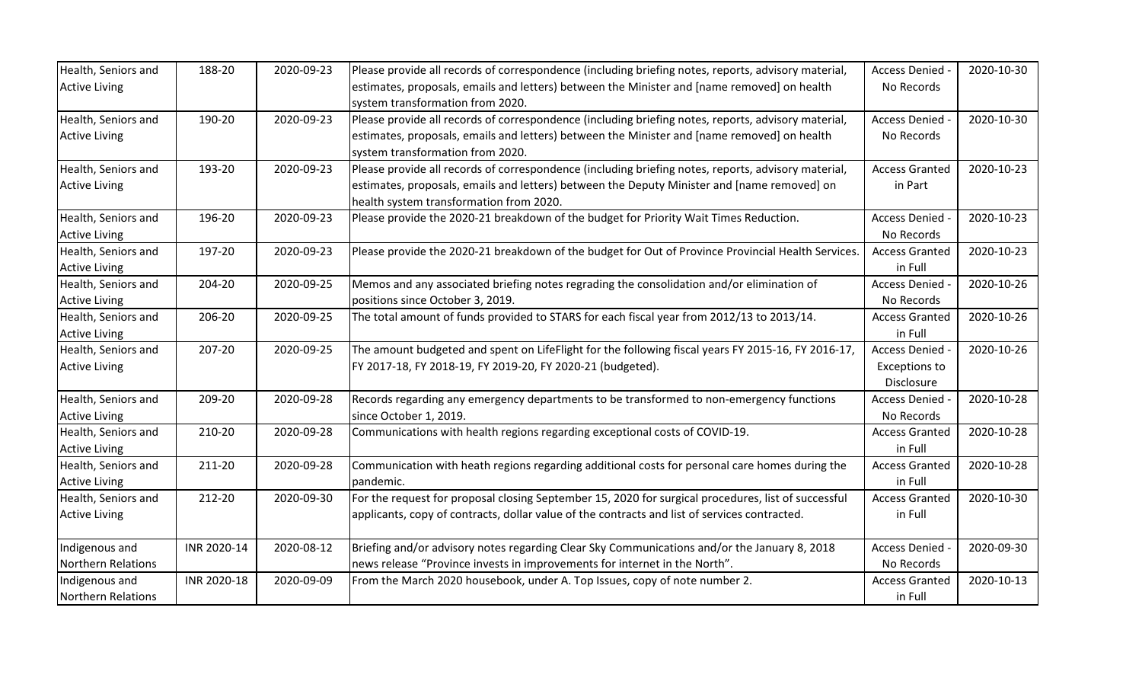| Health, Seniors and       | 188-20      | 2020-09-23 | Please provide all records of correspondence (including briefing notes, reports, advisory material, | Access Denied -       | 2020-10-30 |
|---------------------------|-------------|------------|-----------------------------------------------------------------------------------------------------|-----------------------|------------|
| <b>Active Living</b>      |             |            | estimates, proposals, emails and letters) between the Minister and [name removed] on health         | No Records            |            |
|                           |             |            | system transformation from 2020.                                                                    |                       |            |
| Health, Seniors and       | 190-20      | 2020-09-23 | Please provide all records of correspondence (including briefing notes, reports, advisory material, | Access Denied -       | 2020-10-30 |
| <b>Active Living</b>      |             |            | estimates, proposals, emails and letters) between the Minister and [name removed] on health         | No Records            |            |
|                           |             |            | system transformation from 2020.                                                                    |                       |            |
| Health, Seniors and       | 193-20      | 2020-09-23 | Please provide all records of correspondence (including briefing notes, reports, advisory material, | <b>Access Granted</b> | 2020-10-23 |
| <b>Active Living</b>      |             |            | estimates, proposals, emails and letters) between the Deputy Minister and [name removed] on         | in Part               |            |
|                           |             |            | health system transformation from 2020.                                                             |                       |            |
| Health, Seniors and       | 196-20      | 2020-09-23 | Please provide the 2020-21 breakdown of the budget for Priority Wait Times Reduction.               | Access Denied -       | 2020-10-23 |
| <b>Active Living</b>      |             |            |                                                                                                     | No Records            |            |
| Health, Seniors and       | 197-20      | 2020-09-23 | Please provide the 2020-21 breakdown of the budget for Out of Province Provincial Health Services.  | <b>Access Granted</b> | 2020-10-23 |
| <b>Active Living</b>      |             |            |                                                                                                     | in Full               |            |
| Health, Seniors and       | 204-20      | 2020-09-25 | Memos and any associated briefing notes regrading the consolidation and/or elimination of           | Access Denied -       | 2020-10-26 |
| <b>Active Living</b>      |             |            | positions since October 3, 2019.                                                                    | No Records            |            |
| Health, Seniors and       | 206-20      | 2020-09-25 | The total amount of funds provided to STARS for each fiscal year from 2012/13 to 2013/14.           | <b>Access Granted</b> | 2020-10-26 |
| <b>Active Living</b>      |             |            |                                                                                                     | in Full               |            |
| Health, Seniors and       | 207-20      | 2020-09-25 | The amount budgeted and spent on LifeFlight for the following fiscal years FY 2015-16, FY 2016-17,  | Access Denied -       | 2020-10-26 |
| <b>Active Living</b>      |             |            | FY 2017-18, FY 2018-19, FY 2019-20, FY 2020-21 (budgeted).                                          | <b>Exceptions to</b>  |            |
|                           |             |            |                                                                                                     | Disclosure            |            |
| Health, Seniors and       | 209-20      | 2020-09-28 | Records regarding any emergency departments to be transformed to non-emergency functions            | <b>Access Denied</b>  | 2020-10-28 |
| <b>Active Living</b>      |             |            | since October 1, 2019.                                                                              | No Records            |            |
| Health, Seniors and       | 210-20      | 2020-09-28 | Communications with health regions regarding exceptional costs of COVID-19.                         | <b>Access Granted</b> | 2020-10-28 |
| <b>Active Living</b>      |             |            |                                                                                                     | in Full               |            |
| Health, Seniors and       | 211-20      | 2020-09-28 | Communication with heath regions regarding additional costs for personal care homes during the      | <b>Access Granted</b> | 2020-10-28 |
| <b>Active Living</b>      |             |            | pandemic.                                                                                           | in Full               |            |
| Health, Seniors and       | 212-20      | 2020-09-30 | For the request for proposal closing September 15, 2020 for surgical procedures, list of successful | <b>Access Granted</b> | 2020-10-30 |
| <b>Active Living</b>      |             |            | applicants, copy of contracts, dollar value of the contracts and list of services contracted.       | in Full               |            |
|                           |             |            |                                                                                                     |                       |            |
| Indigenous and            | INR 2020-14 | 2020-08-12 | Briefing and/or advisory notes regarding Clear Sky Communications and/or the January 8, 2018        | Access Denied -       | 2020-09-30 |
| Northern Relations        |             |            | news release "Province invests in improvements for internet in the North".                          | No Records            |            |
| Indigenous and            | INR 2020-18 | 2020-09-09 | From the March 2020 housebook, under A. Top Issues, copy of note number 2.                          | <b>Access Granted</b> | 2020-10-13 |
| <b>Northern Relations</b> |             |            |                                                                                                     | in Full               |            |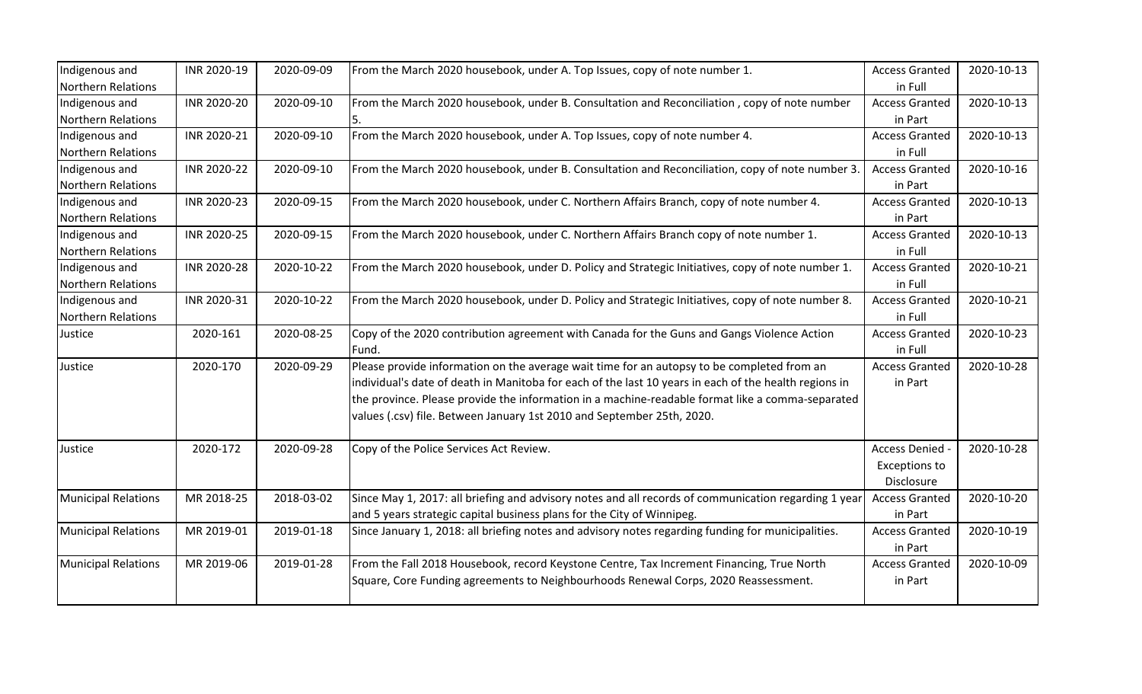| Indigenous and             | INR 2020-19 | 2020-09-09 | From the March 2020 housebook, under A. Top Issues, copy of note number 1.                            | <b>Access Granted</b> | 2020-10-13 |
|----------------------------|-------------|------------|-------------------------------------------------------------------------------------------------------|-----------------------|------------|
| <b>Northern Relations</b>  |             |            |                                                                                                       | in Full               |            |
| Indigenous and             | INR 2020-20 | 2020-09-10 | From the March 2020 housebook, under B. Consultation and Reconciliation, copy of note number          | <b>Access Granted</b> | 2020-10-13 |
| <b>Northern Relations</b>  |             |            |                                                                                                       | in Part               |            |
| Indigenous and             | INR 2020-21 | 2020-09-10 | From the March 2020 housebook, under A. Top Issues, copy of note number 4.                            | <b>Access Granted</b> | 2020-10-13 |
| <b>Northern Relations</b>  |             |            |                                                                                                       | in Full               |            |
| Indigenous and             | INR 2020-22 | 2020-09-10 | From the March 2020 housebook, under B. Consultation and Reconciliation, copy of note number 3.       | <b>Access Granted</b> | 2020-10-16 |
| <b>Northern Relations</b>  |             |            |                                                                                                       | in Part               |            |
| Indigenous and             | INR 2020-23 | 2020-09-15 | From the March 2020 housebook, under C. Northern Affairs Branch, copy of note number 4.               | <b>Access Granted</b> | 2020-10-13 |
| <b>Northern Relations</b>  |             |            |                                                                                                       | in Part               |            |
| Indigenous and             | INR 2020-25 | 2020-09-15 | From the March 2020 housebook, under C. Northern Affairs Branch copy of note number 1.                | <b>Access Granted</b> | 2020-10-13 |
| <b>Northern Relations</b>  |             |            |                                                                                                       | in Full               |            |
| Indigenous and             | INR 2020-28 | 2020-10-22 | From the March 2020 housebook, under D. Policy and Strategic Initiatives, copy of note number 1.      | <b>Access Granted</b> | 2020-10-21 |
| <b>Northern Relations</b>  |             |            |                                                                                                       | in Full               |            |
| Indigenous and             | INR 2020-31 | 2020-10-22 | From the March 2020 housebook, under D. Policy and Strategic Initiatives, copy of note number 8.      | <b>Access Granted</b> | 2020-10-21 |
| <b>Northern Relations</b>  |             |            |                                                                                                       | in Full               |            |
| Justice                    | 2020-161    | 2020-08-25 | Copy of the 2020 contribution agreement with Canada for the Guns and Gangs Violence Action            | <b>Access Granted</b> | 2020-10-23 |
|                            |             |            | Fund.                                                                                                 | in Full               |            |
| Justice                    | 2020-170    | 2020-09-29 | Please provide information on the average wait time for an autopsy to be completed from an            | <b>Access Granted</b> | 2020-10-28 |
|                            |             |            | individual's date of death in Manitoba for each of the last 10 years in each of the health regions in | in Part               |            |
|                            |             |            | the province. Please provide the information in a machine-readable format like a comma-separated      |                       |            |
|                            |             |            | values (.csv) file. Between January 1st 2010 and September 25th, 2020.                                |                       |            |
|                            |             |            |                                                                                                       |                       |            |
| Justice                    | 2020-172    | 2020-09-28 | Copy of the Police Services Act Review.                                                               | Access Denied -       | 2020-10-28 |
|                            |             |            |                                                                                                       | <b>Exceptions to</b>  |            |
|                            |             |            |                                                                                                       | Disclosure            |            |
| <b>Municipal Relations</b> | MR 2018-25  | 2018-03-02 | Since May 1, 2017: all briefing and advisory notes and all records of communication regarding 1 year  | <b>Access Granted</b> | 2020-10-20 |
|                            |             |            | and 5 years strategic capital business plans for the City of Winnipeg.                                | in Part               |            |
| <b>Municipal Relations</b> | MR 2019-01  | 2019-01-18 | Since January 1, 2018: all briefing notes and advisory notes regarding funding for municipalities.    | <b>Access Granted</b> | 2020-10-19 |
|                            |             |            |                                                                                                       | in Part               |            |
| <b>Municipal Relations</b> | MR 2019-06  | 2019-01-28 | From the Fall 2018 Housebook, record Keystone Centre, Tax Increment Financing, True North             | <b>Access Granted</b> | 2020-10-09 |
|                            |             |            | Square, Core Funding agreements to Neighbourhoods Renewal Corps, 2020 Reassessment.                   | in Part               |            |
|                            |             |            |                                                                                                       |                       |            |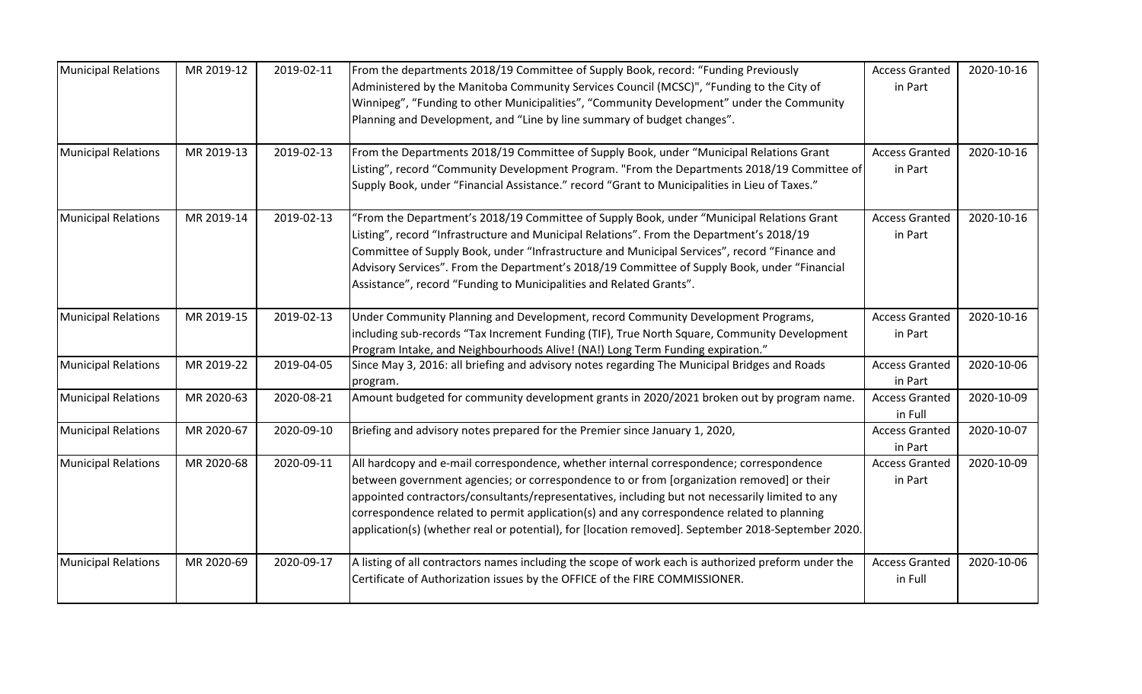| <b>Municipal Relations</b> | MR 2019-12 | 2019-02-11 | From the departments 2018/19 Committee of Supply Book, record: "Funding Previously<br>Administered by the Manitoba Community Services Council (MCSC)", "Funding to the City of<br>Winnipeg", "Funding to other Municipalities", "Community Development" under the Community<br>Planning and Development, and "Line by line summary of budget changes".                                                                                                                                      | <b>Access Granted</b><br>in Part | 2020-10-16 |
|----------------------------|------------|------------|---------------------------------------------------------------------------------------------------------------------------------------------------------------------------------------------------------------------------------------------------------------------------------------------------------------------------------------------------------------------------------------------------------------------------------------------------------------------------------------------|----------------------------------|------------|
| <b>Municipal Relations</b> | MR 2019-13 | 2019-02-13 | From the Departments 2018/19 Committee of Supply Book, under "Municipal Relations Grant<br>Listing", record "Community Development Program. "From the Departments 2018/19 Committee of<br>Supply Book, under "Financial Assistance." record "Grant to Municipalities in Lieu of Taxes."                                                                                                                                                                                                     | <b>Access Granted</b><br>in Part | 2020-10-16 |
| <b>Municipal Relations</b> | MR 2019-14 | 2019-02-13 | "From the Department's 2018/19 Committee of Supply Book, under "Municipal Relations Grant<br>Listing", record "Infrastructure and Municipal Relations". From the Department's 2018/19<br>Committee of Supply Book, under "Infrastructure and Municipal Services", record "Finance and<br>Advisory Services". From the Department's 2018/19 Committee of Supply Book, under "Financial<br>Assistance", record "Funding to Municipalities and Related Grants".                                | <b>Access Granted</b><br>in Part | 2020-10-16 |
| <b>Municipal Relations</b> | MR 2019-15 | 2019-02-13 | Under Community Planning and Development, record Community Development Programs,<br>including sub-records "Tax Increment Funding (TIF), True North Square, Community Development<br>Program Intake, and Neighbourhoods Alive! (NA!) Long Term Funding expiration."                                                                                                                                                                                                                          | <b>Access Granted</b><br>in Part | 2020-10-16 |
| <b>Municipal Relations</b> | MR 2019-22 | 2019-04-05 | Since May 3, 2016: all briefing and advisory notes regarding The Municipal Bridges and Roads<br>program.                                                                                                                                                                                                                                                                                                                                                                                    | <b>Access Granted</b><br>in Part | 2020-10-06 |
| <b>Municipal Relations</b> | MR 2020-63 | 2020-08-21 | Amount budgeted for community development grants in 2020/2021 broken out by program name.                                                                                                                                                                                                                                                                                                                                                                                                   | <b>Access Granted</b><br>in Full | 2020-10-09 |
| <b>Municipal Relations</b> | MR 2020-67 | 2020-09-10 | Briefing and advisory notes prepared for the Premier since January 1, 2020,                                                                                                                                                                                                                                                                                                                                                                                                                 | <b>Access Granted</b><br>in Part | 2020-10-07 |
| <b>Municipal Relations</b> | MR 2020-68 | 2020-09-11 | All hardcopy and e-mail correspondence, whether internal correspondence; correspondence<br>between government agencies; or correspondence to or from [organization removed] or their<br>appointed contractors/consultants/representatives, including but not necessarily limited to any<br>correspondence related to permit application(s) and any correspondence related to planning<br>application(s) (whether real or potential), for [location removed]. September 2018-September 2020. | <b>Access Granted</b><br>in Part | 2020-10-09 |
| <b>Municipal Relations</b> | MR 2020-69 | 2020-09-17 | A listing of all contractors names including the scope of work each is authorized preform under the<br>Certificate of Authorization issues by the OFFICE of the FIRE COMMISSIONER.                                                                                                                                                                                                                                                                                                          | <b>Access Granted</b><br>in Full | 2020-10-06 |